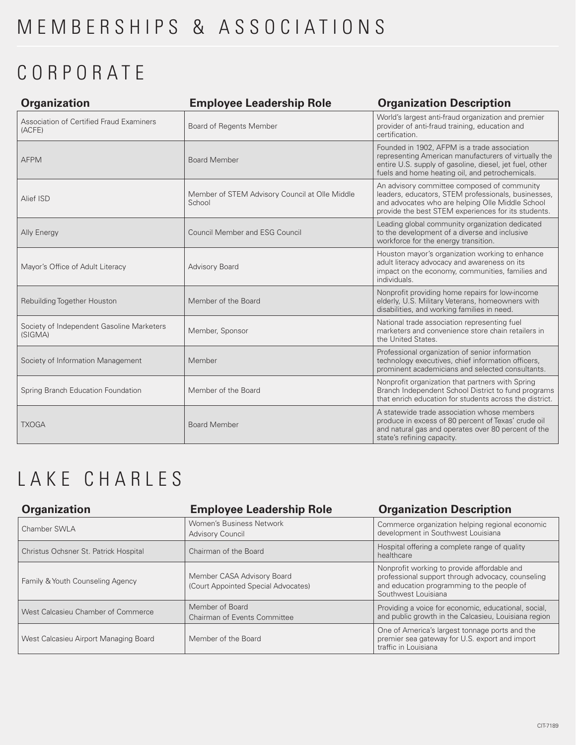## CORPORATE

| <b>Organization</b>                                  | <b>Employee Leadership Role</b>                          | <b>Organization Description</b>                                                                                                                                                                                    |
|------------------------------------------------------|----------------------------------------------------------|--------------------------------------------------------------------------------------------------------------------------------------------------------------------------------------------------------------------|
| Association of Certified Fraud Examiners<br>(ACFE)   | Board of Regents Member                                  | World's largest anti-fraud organization and premier<br>provider of anti-fraud training, education and<br>certification.                                                                                            |
| <b>AFPM</b>                                          | <b>Board Member</b>                                      | Founded in 1902, AFPM is a trade association<br>representing American manufacturers of virtually the<br>entire U.S. supply of gasoline, diesel, jet fuel, other<br>fuels and home heating oil, and petrochemicals. |
| Alief ISD                                            | Member of STEM Advisory Council at Olle Middle<br>School | An advisory committee composed of community<br>leaders, educators, STEM professionals, businesses,<br>and advocates who are helping Olle Middle School<br>provide the best STEM experiences for its students.      |
| Ally Energy                                          | <b>Council Member and ESG Council</b>                    | Leading global community organization dedicated<br>to the development of a diverse and inclusive<br>workforce for the energy transition.                                                                           |
| Mayor's Office of Adult Literacy                     | Advisory Board                                           | Houston mayor's organization working to enhance<br>adult literacy advocacy and awareness on its<br>impact on the economy, communities, families and<br>individuals.                                                |
| Rebuilding Together Houston                          | Member of the Board                                      | Nonprofit providing home repairs for low-income<br>elderly, U.S. Military Veterans, homeowners with<br>disabilities, and working families in need.                                                                 |
| Society of Independent Gasoline Marketers<br>(SIGMA) | Member, Sponsor                                          | National trade association representing fuel<br>marketers and convenience store chain retailers in<br>the United States.                                                                                           |
| Society of Information Management                    | Member                                                   | Professional organization of senior information<br>technology executives, chief information officers,<br>prominent academicians and selected consultants.                                                          |
| Spring Branch Education Foundation                   | Member of the Board                                      | Nonprofit organization that partners with Spring<br>Branch Independent School District to fund programs<br>that enrich education for students across the district.                                                 |
| <b>TXOGA</b>                                         | <b>Board Member</b>                                      | A statewide trade association whose members<br>produce in excess of 80 percent of Texas' crude oil<br>and natural gas and operates over 80 percent of the<br>state's refining capacity.                            |

## LAKE CHARLES

| <b>Organization</b>                   | <b>Employee Leadership Role</b>                                   | <b>Organization Description</b>                                                                                                                                       |
|---------------------------------------|-------------------------------------------------------------------|-----------------------------------------------------------------------------------------------------------------------------------------------------------------------|
| Chamber SWLA                          | Women's Business Network<br><b>Advisory Council</b>               | Commerce organization helping regional economic<br>development in Southwest Louisiana                                                                                 |
| Christus Ochsner St. Patrick Hospital | Chairman of the Board                                             | Hospital offering a complete range of quality<br>healthcare                                                                                                           |
| Family & Youth Counseling Agency      | Member CASA Advisory Board<br>(Court Appointed Special Advocates) | Nonprofit working to provide affordable and<br>professional support through advocacy, counseling<br>and education programming to the people of<br>Southwest Louisiana |
| West Calcasieu Chamber of Commerce    | Member of Board<br>Chairman of Events Committee                   | Providing a voice for economic, educational, social,<br>and public growth in the Calcasieu, Louisiana region                                                          |
| West Calcasieu Airport Managing Board | Member of the Board                                               | One of America's largest tonnage ports and the<br>premier sea gateway for U.S. export and import<br>traffic in Louisiana                                              |